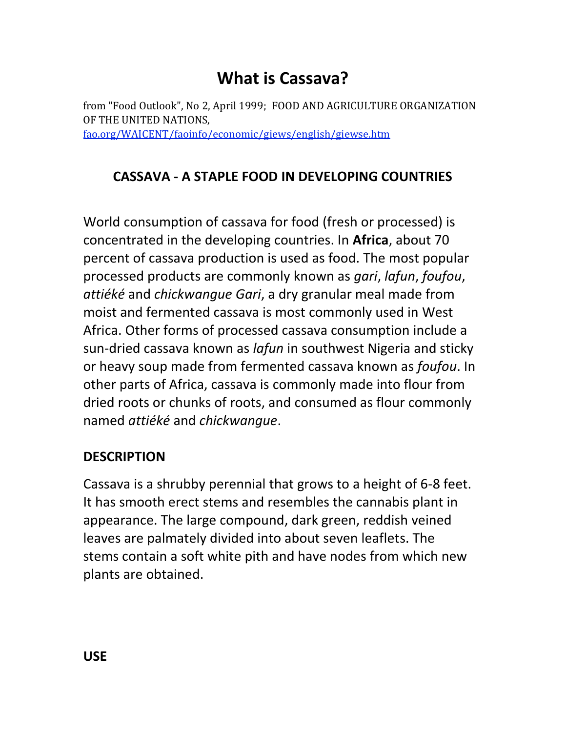## **What is Cassava?**

from "Food Outlook", No 2, April 1999; FOOD AND AGRICULTURE ORGANIZATION OF THE UNITED NATIONS, [fao.org/WAICENT/faoinfo/economic/giews/english/giewse.htm](http://www.fao.org/WAICENT/faoinfo/economic/giews/english/giewse.htm)

## **CASSAVA - A STAPLE FOOD IN DEVELOPING COUNTRIES**

World consumption of cassava for food (fresh or processed) is concentrated in the developing countries. In **Africa**, about 70 percent of cassava production is used as food. The most popular processed products are commonly known as *gari*, *lafun*, *foufou*, *attiéké* and *chickwangue Gari*, a dry granular meal made from moist and fermented cassava is most commonly used in West Africa. Other forms of processed cassava consumption include a sun-dried cassava known as *lafun* in southwest Nigeria and sticky or heavy soup made from fermented cassava known as *foufou*. In other parts of Africa, cassava is commonly made into flour from dried roots or chunks of roots, and consumed as flour commonly named *attiéké* and *chickwangue*.

## **DESCRIPTION**

Cassava is a shrubby perennial that grows to a height of 6-8 feet. It has smooth erect stems and resembles the cannabis plant in appearance. The large compound, dark green, reddish veined leaves are palmately divided into about seven leaflets. The stems contain a soft white pith and have nodes from which new plants are obtained.